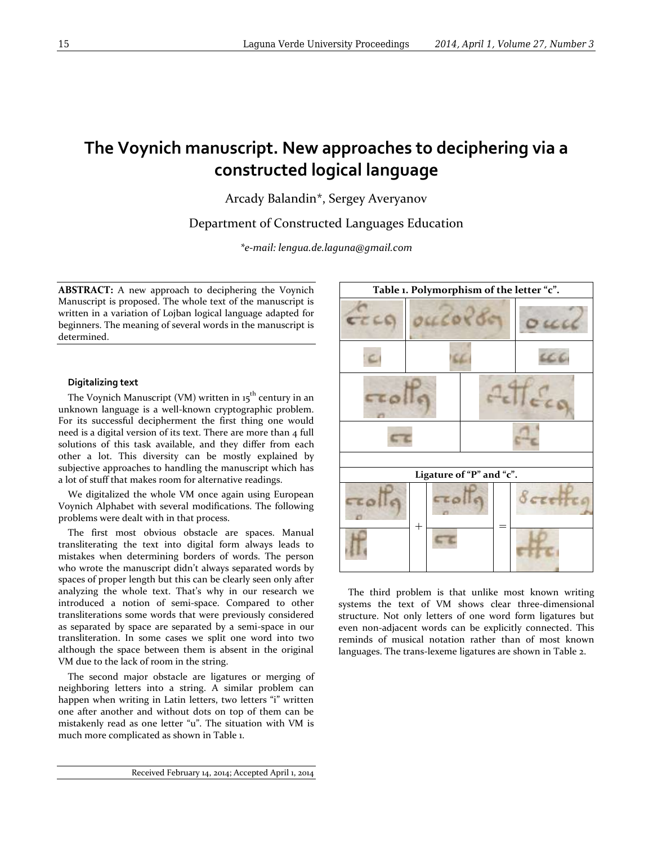# **The Voynich manuscript. New approaches to deciphering via a constructed logical language**

Arcady Balandin\*, Sergey Averyanov

Department of Constructed Languages Education

*\*e-mail: lengua.de.laguna@gmail.com*

**ABSTRACT:** A new approach to deciphering the Voynich Manuscript is proposed. The whole text of the manuscript is written in a variation of Lojban logical language adapted for beginners. The meaning of several words in the manuscript is determined.

## **Digitalizing text**

The Voynich Manuscript (VM) written in 15<sup>th</sup> century in an unknown language is a well-known cryptographic problem. For its successful decipherment the first thing one would need is a digital version of its text. There are more than 4 full solutions of this task available, and they differ from each other a lot. This diversity can be mostly explained by subjective approaches to handling the manuscript which has a lot of stuff that makes room for alternative readings.

We digitalized the whole VM once again using European Voynich Alphabet with several modifications. The following problems were dealt with in that process.

The first most obvious obstacle are spaces. Manual transliterating the text into digital form always leads to mistakes when determining borders of words. The person who wrote the manuscript didn't always separated words by spaces of proper length but this can be clearly seen only after analyzing the whole text. That's why in our research we introduced a notion of semi-space. Compared to other transliterations some words that were previously considered as separated by space are separated by a semi-space in our transliteration. In some cases we split one word into two although the space between them is absent in the original VM due to the lack of room in the string.

The second major obstacle are ligatures or merging of neighboring letters into a string. A similar problem can happen when writing in Latin letters, two letters "i" written one after another and without dots on top of them can be mistakenly read as one letter "u". The situation with VM is much more complicated as shown in Table 1.



The third problem is that unlike most known writing systems the text of VM shows clear three-dimensional structure. Not only letters of one word form ligatures but even non-adjacent words can be explicitly connected. This reminds of musical notation rather than of most known languages. The trans-lexeme ligatures are shown in Table 2.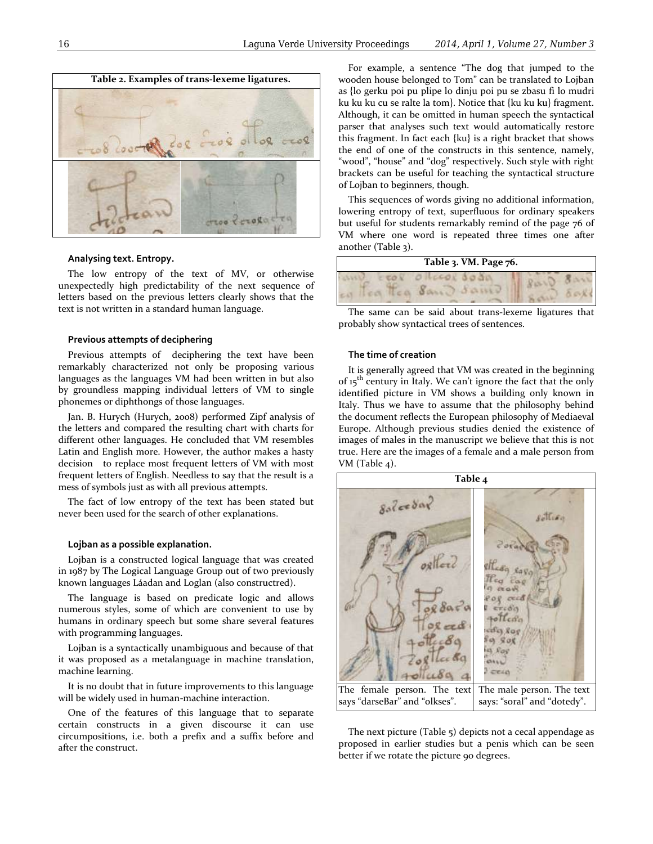

## **Analysing text. Entropy.**

The low entropy of the text of MV, or otherwise unexpectedly high predictability of the next sequence of letters based on the previous letters clearly shows that the text is not written in a standard human language.

#### **Previous attempts of deciphering**

Previous attempts of deciphering the text have been remarkably characterized not only be proposing various languages as the languages VM had been written in but also by groundless mapping individual letters of VM to single phonemes or diphthongs of those languages.

Jan. B. Hurych (Hurych, 2008) performed Zipf analysis of the letters and compared the resulting chart with charts for different other languages. He concluded that VM resembles Latin and English more. However, the author makes a hasty decision to replace most frequent letters of VM with most frequent letters of English. Needless to say that the result is a mess of symbols just as with all previous attempts.

The fact of low entropy of the text has been stated but never been used for the search of other explanations.

#### **Lojban as a possible explanation.**

Lojban is a constructed logical language that was created in 1987 by The Logical Language Group out of two previously known languages Láadan and Loglan (also constructred).

The language is based on predicate logic and allows numerous styles, some of which are convenient to use by humans in ordinary speech but some share several features with programming languages.

Lojban is a syntactically unambiguous and because of that it was proposed as a metalanguage in machine translation, machine learning.

It is no doubt that in future improvements to this language will be widely used in human-machine interaction.

One of the features of this language that to separate certain constructs in a given discourse it can use circumpositions, i.e. both a prefix and a suffix before and after the construct.

For example, a sentence "The dog that jumped to the wooden house belonged to Tom" can be translated to Lojban as {lo gerku poi pu plipe lo dinju poi pu se zbasu fi lo mudri ku ku ku cu se ralte la tom}. Notice that {ku ku ku} fragment. Although, it can be omitted in human speech the syntactical parser that analyses such text would automatically restore this fragment. In fact each {ku} is a right bracket that shows the end of one of the constructs in this sentence, namely, "wood", "house" and "dog" respectively. Such style with right brackets can be useful for teaching the syntactical structure of Lojban to beginners, though.

This sequences of words giving no additional information, lowering entropy of text, superfluous for ordinary speakers but useful for students remarkably remind of the page 76 of VM where one word is repeated three times one after another (Table 3).

| Table 3. VM. Page 76. |  |  |
|-----------------------|--|--|
|                       |  |  |

The same can be said about trans-lexeme ligatures that probably show syntactical trees of sentences.

### **The time of creation**

It is generally agreed that VM was created in the beginning of 15<sup>th</sup> century in Italy. We can't ignore the fact that the only identified picture in VM shows a building only known in Italy. Thus we have to assume that the philosophy behind the document reflects the European philosophy of Mediaeval Europe. Although previous studies denied the existence of images of males in the manuscript we believe that this is not true. Here are the images of a female and a male person from VM (Table 4).



The next picture (Table 5) depicts not a cecal appendage as proposed in earlier studies but a penis which can be seen better if we rotate the picture 90 degrees.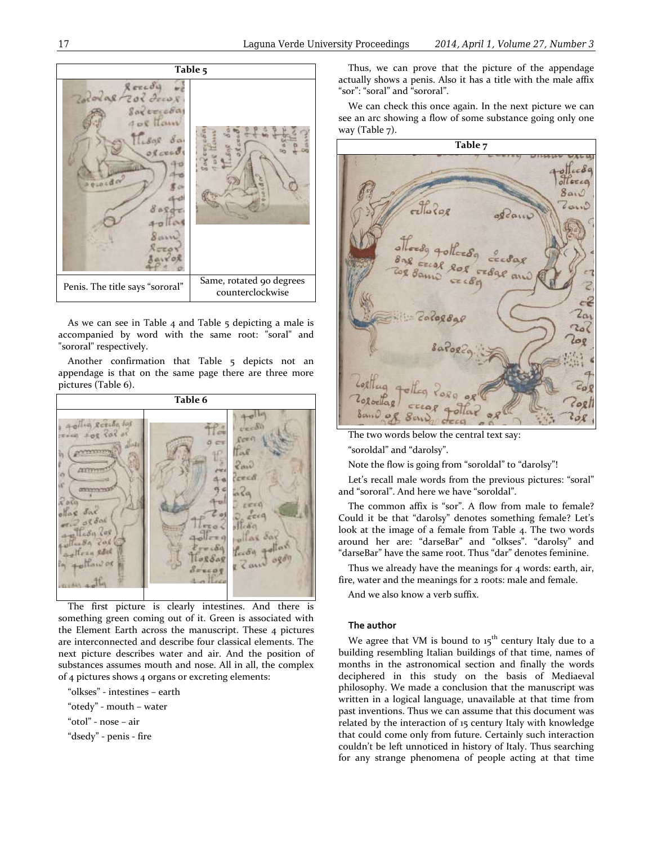

As we can see in Table 4 and Table 5 depicting a male is accompanied by word with the same root: "soral" and "sororal" respectively.

Another confirmation that Table 5 depicts not an appendage is that on the same page there are three more pictures (Table 6).



The first picture is clearly intestines. And there is something green coming out of it. Green is associated with the Element Earth across the manuscript. These 4 pictures are interconnected and describe four classical elements. The next picture describes water and air. And the position of substances assumes mouth and nose. All in all, the complex of 4 pictures shows 4 organs or excreting elements:

"olkses" - intestines – earth

"otedy" - mouth – water

"otol" - nose – air

"dsedy" - penis - fire

Thus, we can prove that the picture of the appendage actually shows a penis. Also it has a title with the male affix "sor": "soral" and "sororal".

We can check this once again. In the next picture we can see an arc showing a flow of some substance going only one way (Table 7).

**Table 7** LecSa ollerca  $8a_1 \circ$  $2a(1)$ cé  $2a_1$ Za Log  $c_0$  8  $logl$  $c_{\varphi}$ 

The two words below the central text say:

"soroldal" and "darolsy".

Note the flow is going from "soroldal" to "darolsy"!

Let's recall male words from the previous pictures: "soral" and "sororal". And here we have "soroldal".

The common affix is "sor". A flow from male to female? Could it be that "darolsy" denotes something female? Let's look at the image of a female from Table 4. The two words around her are: "darseВar" and "olkses". "darolsy" and "darseВar" have the same root. Thus "dar" denotes feminine.

Thus we already have the meanings for 4 words: earth, air, fire, water and the meanings for 2 roots: male and female.

And we also know a verb suffix.

## **The author**

We agree that VM is bound to  $15<sup>th</sup>$  century Italy due to a building resembling Italian buildings of that time, names of months in the astronomical section and finally the words deciphered in this study on the basis of Mediaeval philosophy. We made a conclusion that the manuscript was written in a logical language, unavailable at that time from past inventions. Thus we can assume that this document was related by the interaction of 15 century Italy with knowledge that could come only from future. Certainly such interaction couldn't be left unnoticed in history of Italy. Thus searching for any strange phenomena of people acting at that time